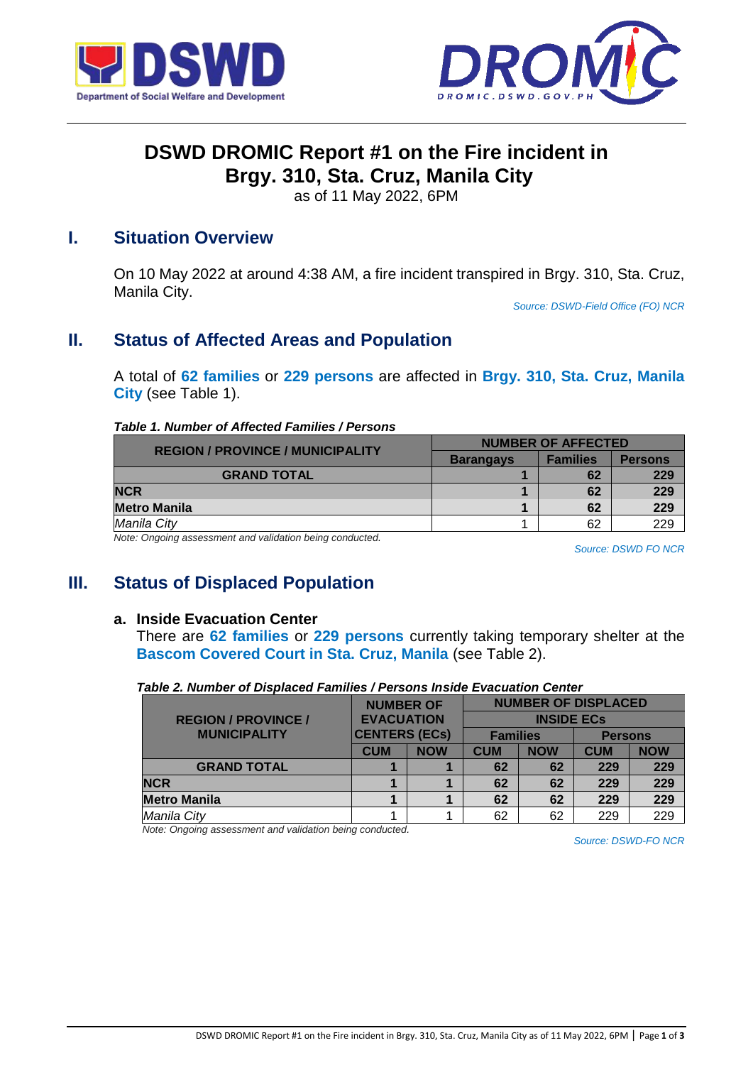



# **DSWD DROMIC Report #1 on the Fire incident in Brgy. 310, Sta. Cruz, Manila City**

as of 11 May 2022, 6PM

### **I. Situation Overview**

On 10 May 2022 at around 4:38 AM, a fire incident transpired in Brgy. 310, Sta. Cruz, Manila City.

*Source: DSWD-Field Office (FO) NCR*

### **II. Status of Affected Areas and Population**

A total of **62 families** or **229 persons** are affected in **Brgy. 310, Sta. Cruz, Manila City** (see Table 1).

#### *Table 1. Number of Affected Families / Persons*

| <b>REGION / PROVINCE / MUNICIPALITY</b>                | <b>NUMBER OF AFFECTED</b> |                 |                |  |
|--------------------------------------------------------|---------------------------|-----------------|----------------|--|
|                                                        | <b>Barangays</b>          | <b>Families</b> | <b>Persons</b> |  |
| <b>GRAND TOTAL</b>                                     |                           | 62              | 229            |  |
| <b>NCR</b>                                             |                           | 62              | 229            |  |
| <b>Metro Manila</b>                                    |                           | 62              | 229            |  |
| Manila City                                            |                           | 62              | 229            |  |
| Neta: Opening cooperant and validation boing conducted |                           |                 |                |  |

*Note: Ongoing assessment and validation being conducted.* 

*Source: DSWD FO NCR*

### **III. Status of Displaced Population**

#### **a. Inside Evacuation Center**

There are **62 families** or **229 persons** currently taking temporary shelter at the **Bascom Covered Court in Sta. Cruz, Manila** (see Table 2).

|                            | <b>NUMBER OF</b><br><b>EVACUATION</b><br><b>CENTERS (ECs)</b> |            | <b>NUMBER OF DISPLACED</b> |            |                |            |
|----------------------------|---------------------------------------------------------------|------------|----------------------------|------------|----------------|------------|
| <b>REGION / PROVINCE /</b> |                                                               |            | <b>INSIDE ECS</b>          |            |                |            |
| <b>MUNICIPALITY</b>        |                                                               |            | <b>Families</b>            |            | <b>Persons</b> |            |
|                            | <b>CUM</b>                                                    | <b>NOW</b> | <b>CUM</b>                 | <b>NOW</b> | <b>CUM</b>     | <b>NOW</b> |
| <b>GRAND TOTAL</b>         |                                                               |            | 62                         | 62         | 229            | 229        |
| <b>NCR</b>                 |                                                               |            | 62                         | 62         | 229            | 229        |
| <b>Metro Manila</b>        |                                                               |            | 62                         | 62         | 229            | 229        |
| Manila City                |                                                               |            | 62                         | 62         | 229            | 229        |

*Note: Ongoing assessment and validation being conducted.*

*Source: DSWD-FO NCR*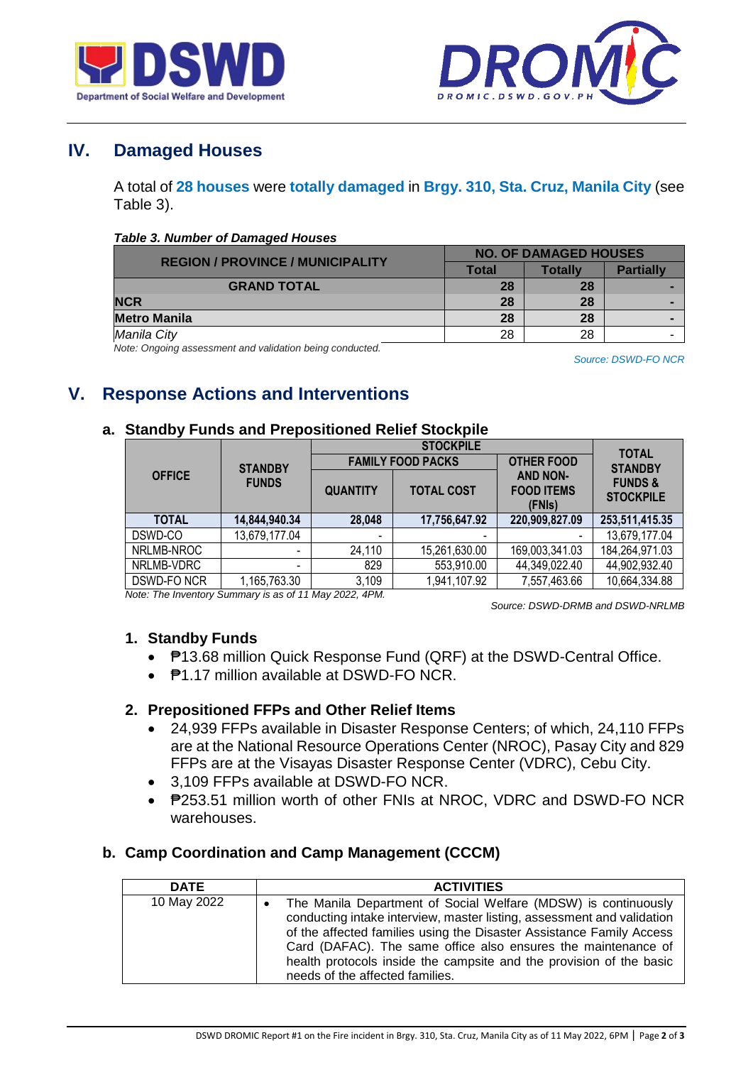



# **IV. Damaged Houses**

A total of **28 houses** were **totally damaged** in **Brgy. 310, Sta. Cruz, Manila City** (see Table 3).

#### *Table 3. Number of Damaged Houses*

| <b>REGION / PROVINCE / MUNICIPALITY</b> | <b>NO. OF DAMAGED HOUSES</b> |         |                  |  |
|-----------------------------------------|------------------------------|---------|------------------|--|
|                                         | Total                        | Totallv | <b>Partially</b> |  |
| <b>GRAND TOTAL</b>                      | 28                           | 28      |                  |  |
| <b>NCR</b>                              | 28                           | 28      |                  |  |
| <b>Metro Manila</b>                     | 28                           | 28      |                  |  |
| Manila City                             | 28                           | 28      |                  |  |

*Note: Ongoing assessment and validation being conducted.*

*Source: DSWD-FO NCR*

## **V. Response Actions and Interventions**

#### **a. Standby Funds and Prepositioned Relief Stockpile**

|               |                |                          | <b>STOCKPILE</b>         |                                                | <b>TOTAL</b>                           |  |
|---------------|----------------|--------------------------|--------------------------|------------------------------------------------|----------------------------------------|--|
|               | <b>STANDBY</b> |                          | <b>FAMILY FOOD PACKS</b> | <b>OTHER FOOD</b>                              | <b>STANDBY</b>                         |  |
| <b>OFFICE</b> | <b>FUNDS</b>   | <b>QUANTITY</b>          | <b>TOTAL COST</b>        | <b>AND NON-</b><br><b>FOOD ITEMS</b><br>(FNIs) | <b>FUNDS &amp;</b><br><b>STOCKPILE</b> |  |
| <b>TOTAL</b>  | 14,844,940.34  | 28,048                   | 17,756,647.92            | 220,909,827.09                                 | 253,511,415.35                         |  |
| DSWD-CO       | 13,679,177.04  | $\overline{\phantom{a}}$ | $\overline{\phantom{0}}$ |                                                | 13,679,177.04                          |  |
| NRLMB-NROC    |                | 24,110                   | 15,261,630.00            | 169,003,341.03                                 | 184,264,971.03                         |  |
| NRLMB-VDRC    | $\,$           | 829                      | 553,910.00               | 44,349,022.40                                  | 44,902,932.40                          |  |
| DSWD-FO NCR   | 1,165,763.30   | 3,109                    | 1,941,107.92             | 7,557,463.66                                   | 10,664,334.88                          |  |

*Note: The Inventory Summary is as of 11 May 2022, 4PM.*

 *Source: DSWD-DRMB and DSWD-NRLMB*

### **1. Standby Funds**

- **₱13.68 million Quick Response Fund (QRF) at the DSWD-Central Office.**
- **P1.17 million available at DSWD-FO NCR.**

### **2. Prepositioned FFPs and Other Relief Items**

- 24,939 FFPs available in Disaster Response Centers; of which, 24,110 FFPs are at the National Resource Operations Center (NROC), Pasay City and 829 FFPs are at the Visayas Disaster Response Center (VDRC), Cebu City.
- 3,109 FFPs available at DSWD-FO NCR.
- P253.51 million worth of other FNIs at NROC, VDRC and DSWD-FO NCR warehouses.

### **b. Camp Coordination and Camp Management (CCCM)**

| <b>DATE</b> | <b>ACTIVITIES</b>                                                                                                                                                                                                                                                                                                                                                                           |
|-------------|---------------------------------------------------------------------------------------------------------------------------------------------------------------------------------------------------------------------------------------------------------------------------------------------------------------------------------------------------------------------------------------------|
| 10 May 2022 | The Manila Department of Social Welfare (MDSW) is continuously<br>conducting intake interview, master listing, assessment and validation<br>of the affected families using the Disaster Assistance Family Access<br>Card (DAFAC). The same office also ensures the maintenance of<br>health protocols inside the campsite and the provision of the basic<br>needs of the affected families. |